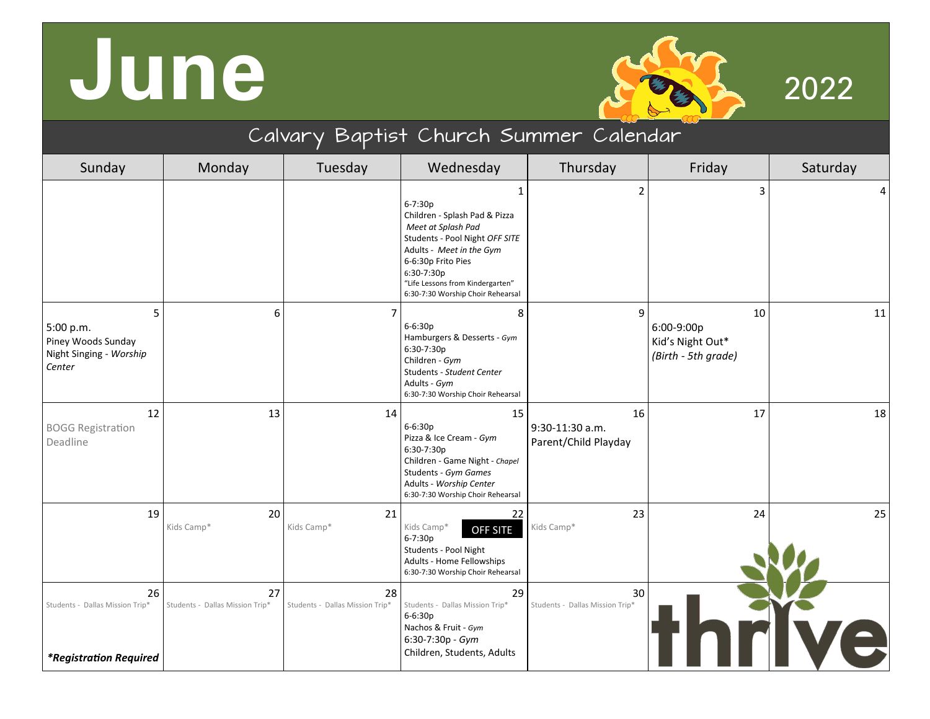## **June** 2022



| Calvary Baptist Church Summer Calendar                                        |                                       |                                       |                                                                                                                                                                                                                                                               |                                               |                                                             |          |  |
|-------------------------------------------------------------------------------|---------------------------------------|---------------------------------------|---------------------------------------------------------------------------------------------------------------------------------------------------------------------------------------------------------------------------------------------------------------|-----------------------------------------------|-------------------------------------------------------------|----------|--|
| Sunday                                                                        | Monday                                | Tuesday                               | Wednesday                                                                                                                                                                                                                                                     | Thursday                                      | Friday                                                      | Saturday |  |
|                                                                               |                                       |                                       | $\mathbf{1}$<br>$6 - 7:30p$<br>Children - Splash Pad & Pizza<br>Meet at Splash Pad<br>Students - Pool Night OFF SITE<br>Adults - Meet in the Gym<br>6-6:30p Frito Pies<br>6:30-7:30p<br>"Life Lessons from Kindergarten"<br>6:30-7:30 Worship Choir Rehearsal | $\overline{2}$                                | $\overline{3}$                                              | 4        |  |
| 5<br>5:00 p.m.<br>Piney Woods Sunday<br>Night Singing - Worship<br>Center     | 6                                     |                                       | 8<br>$6 - 6:30p$<br>Hamburgers & Desserts - Gym<br>6:30-7:30p<br>Children - Gym<br>Students - Student Center<br>Adults - Gym<br>6:30-7:30 Worship Choir Rehearsal                                                                                             | 9                                             | 10<br>6:00-9:00p<br>Kid's Night Out*<br>(Birth - 5th grade) | $11\,$   |  |
| 12<br><b>BOGG Registration</b><br>Deadline                                    | 13                                    | 14                                    | 15<br>$6 - 6:30p$<br>Pizza & Ice Cream - Gym<br>6:30-7:30p<br>Children - Game Night - Chapel<br>Students - Gym Games<br>Adults - Worship Center<br>6:30-7:30 Worship Choir Rehearsal                                                                          | 16<br>9:30-11:30 a.m.<br>Parent/Child Playday | 17                                                          | 18       |  |
| 19                                                                            | 20<br>Kids Camp*                      | 21<br>Kids Camp*                      | 22<br>Kids Camp*<br><b>OFF SITE</b><br>6-7:30p<br>Students - Pool Night<br>Adults - Home Fellowships<br>6:30-7:30 Worship Choir Rehearsal                                                                                                                     | 23<br>Kids Camp*                              | 24                                                          | 25       |  |
| 26<br>Students - Dallas Mission Trip*<br><i><b>*Registration Required</b></i> | 27<br>Students - Dallas Mission Trip* | 28<br>Students - Dallas Mission Trip* | 29<br>Students - Dallas Mission Trip*<br>$6 - 6:30p$<br>Nachos & Fruit - Gym<br>6:30-7:30p - Gym<br>Children, Students, Adults                                                                                                                                | 30<br>Students - Dallas Mission Trip*         |                                                             |          |  |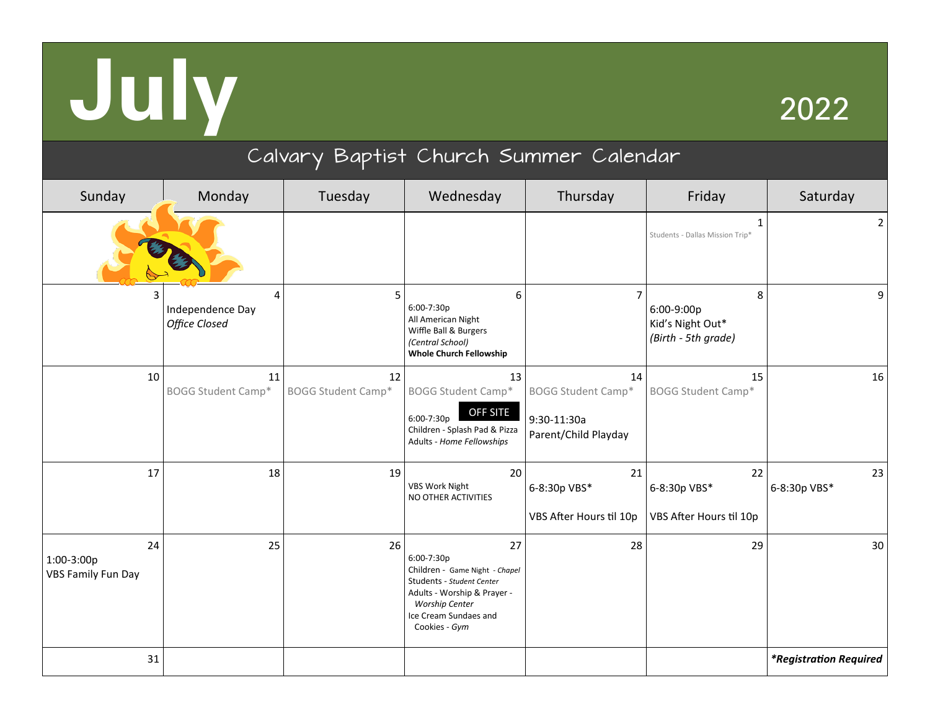# **July** <sup>2022</sup>

### Calvary Baptist Church Summer Calendar

| Sunday                                        | Monday                                 | Tuesday                         | Wednesday                                                                                                                                                                         | Thursday                                                               | Friday                                                     | Saturday                      |
|-----------------------------------------------|----------------------------------------|---------------------------------|-----------------------------------------------------------------------------------------------------------------------------------------------------------------------------------|------------------------------------------------------------------------|------------------------------------------------------------|-------------------------------|
|                                               |                                        |                                 |                                                                                                                                                                                   |                                                                        | 1<br>Students - Dallas Mission Trip*                       | $\mathbf{2}$                  |
| 3                                             | 4<br>Independence Day<br>Office Closed | 5                               | 6<br>6:00-7:30p<br>All American Night<br>Wiffle Ball & Burgers<br>(Central School)<br><b>Whole Church Fellowship</b>                                                              | 7                                                                      | 8<br>6:00-9:00p<br>Kid's Night Out*<br>(Birth - 5th grade) | 9                             |
| 10                                            | 11<br><b>BOGG Student Camp*</b>        | 12<br><b>BOGG Student Camp*</b> | 13<br><b>BOGG Student Camp*</b><br>OFF SITE<br>6:00-7:30p<br>Children - Splash Pad & Pizza<br>Adults - Home Fellowships                                                           | 14<br><b>BOGG Student Camp*</b><br>9:30-11:30a<br>Parent/Child Playday | 15<br><b>BOGG Student Camp*</b>                            | 16                            |
| 17                                            | 18                                     | 19                              | 20<br><b>VBS Work Night</b><br>NO OTHER ACTIVITIES                                                                                                                                | 21<br>6-8:30p VBS*<br>VBS After Hours til 10p                          | 22<br>6-8:30p VBS*<br>VBS After Hours til 10p              | 23<br>6-8:30p VBS*            |
| 24<br>1:00-3:00p<br><b>VBS Family Fun Day</b> | 25                                     | 26                              | 27<br>6:00-7:30p<br>Children - Game Night - Chapel<br>Students - Student Center<br>Adults - Worship & Prayer -<br><b>Worship Center</b><br>Ice Cream Sundaes and<br>Cookies - Gym | 28                                                                     | 29                                                         | 30                            |
| 31                                            |                                        |                                 |                                                                                                                                                                                   |                                                                        |                                                            | <i>*Registration Required</i> |